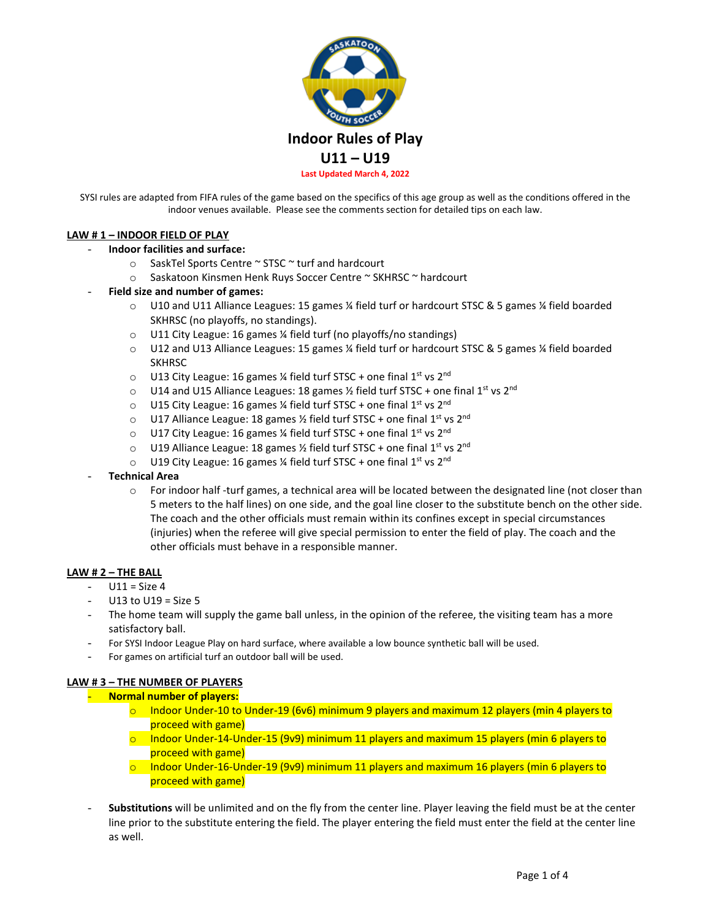

SYSI rules are adapted from FIFA rules of the game based on the specifics of this age group as well as the conditions offered in the indoor venues available. Please see the comments section for detailed tips on each law.

# **LAW # 1 – INDOOR FIELD OF PLAY**

### - **Indoor facilities and surface:**

- o SaskTel Sports Centre ~ STSC ~ turf and hardcourt
- o Saskatoon Kinsmen Henk Ruys Soccer Centre ~ SKHRSC ~ hardcourt
- **Field size and number of games:** 
	- o U10 and U11 Alliance Leagues: 15 games ¼ field turf or hardcourt STSC & 5 games ¼ field boarded SKHRSC (no playoffs, no standings).
	- o U11 City League: 16 games ¼ field turf (no playoffs/no standings)
	- o U12 and U13 Alliance Leagues: 15 games ¼ field turf or hardcourt STSC & 5 games ¼ field boarded SKHRSC
	- $\circ$  U13 City League: 16 games % field turf STSC + one final 1<sup>st</sup> vs 2<sup>nd</sup>
	- $\circ$  U14 and U15 Alliance Leagues: 18 games  $\frac{1}{2}$  field turf STSC + one final 1<sup>st</sup> vs 2<sup>nd</sup>
	- o U15 City League: 16 games 1/4 field turf STSC + one final 1st vs 2nd
	- $\circ$  U17 Alliance League: 18 games 1/2 field turf STSC + one final 1<sup>st</sup> vs 2<sup>nd</sup>
	- $\circ$  U17 City League: 16 games % field turf STSC + one final 1st vs 2<sup>nd</sup>
	- o U19 Alliance League: 18 games ½ field turf STSC + one final 1st vs 2nd
	- $\circ$  U19 City League: 16 games % field turf STSC + one final 1st vs 2<sup>nd</sup>
- **Technical Area**
	- o For indoor half -turf games, a technical area will be located between the designated line (not closer than 5 meters to the half lines) on one side, and the goal line closer to the substitute bench on the other side. The coach and the other officials must remain within its confines except in special circumstances (injuries) when the referee will give special permission to enter the field of play. The coach and the other officials must behave in a responsible manner.

### **LAW # 2 – THE BALL**

- $-$  U11 = Size 4
- U13 to U19 = Size  $5$
- The home team will supply the game ball unless, in the opinion of the referee, the visiting team has a more satisfactory ball.
- For SYSI Indoor League Play on hard surface, where available a low bounce synthetic ball will be used.
- For games on artificial turf an outdoor ball will be used.

### **LAW # 3 – THE NUMBER OF PLAYERS**

### - **Normal number of players:**

- $\circ$  Indoor Under-10 to Under-19 (6v6) minimum 9 players and maximum 12 players (min 4 players to proceed with game)
- $\circ$  Indoor Under-14-Under-15 (9v9) minimum 11 players and maximum 15 players (min 6 players to proceed with game)
- $\circ$  Indoor Under-16-Under-19 (9v9) minimum 11 players and maximum 16 players (min 6 players to proceed with game)
- Substitutions will be unlimited and on the fly from the center line. Player leaving the field must be at the center line prior to the substitute entering the field. The player entering the field must enter the field at the center line as well.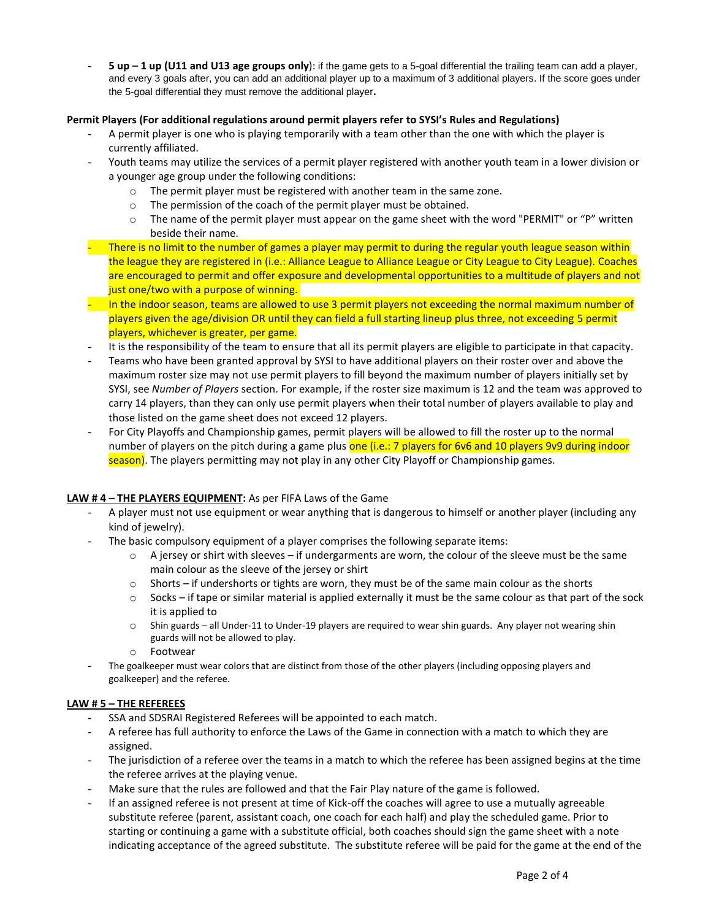- **5 up – 1 up (U11 and U13 age groups only**): if the game gets to a 5-goal differential the trailing team can add a player, and every 3 goals after, you can add an additional player up to a maximum of 3 additional players. If the score goes under the 5-goal differential they must remove the additional player**.**

# **Permit Players (For additional regulations around permit players refer to SYSI's Rules and Regulations)**

- A permit player is one who is playing temporarily with a team other than the one with which the player is currently affiliated.
- Youth teams may utilize the services of a permit player registered with another youth team in a lower division or a younger age group under the following conditions:
	- o The permit player must be registered with another team in the same zone.
	- o The permission of the coach of the permit player must be obtained.
	- $\circ$  The name of the permit player must appear on the game sheet with the word "PERMIT" or "P" written beside their name.
- There is no limit to the number of games a player may permit to during the regular youth league season within the league they are registered in (i.e.: Alliance League to Alliance League or City League to City League). Coaches are encouraged to permit and offer exposure and developmental opportunities to a multitude of players and not just one/two with a purpose of winning.
- In the indoor season, teams are allowed to use 3 permit players not exceeding the normal maximum number of players given the age/division OR until they can field a full starting lineup plus three, not exceeding 5 permit players, whichever is greater, per game.
- It is the responsibility of the team to ensure that all its permit players are eligible to participate in that capacity.
- Teams who have been granted approval by SYSI to have additional players on their roster over and above the maximum roster size may not use permit players to fill beyond the maximum number of players initially set by SYSI, see *Number of Players* section. For example, if the roster size maximum is 12 and the team was approved to carry 14 players, than they can only use permit players when their total number of players available to play and those listed on the game sheet does not exceed 12 players.
- For City Playoffs and Championship games, permit players will be allowed to fill the roster up to the normal number of players on the pitch during a game plus one (i.e.: 7 players for 6v6 and 10 players 9v9 during indoor season). The players permitting may not play in any other City Playoff or Championship games.

## **LAW # 4 – THE PLAYERS EQUIPMENT:** As per FIFA Laws of the Game

- A player must not use equipment or wear anything that is dangerous to himself or another player (including any kind of jewelry).
- The basic compulsory equipment of a player comprises the following separate items:
	- o A jersey or shirt with sleeves if undergarments are worn, the colour of the sleeve must be the same main colour as the sleeve of the jersey or shirt
	- $\circ$  Shorts if undershorts or tights are worn, they must be of the same main colour as the shorts
	- $\circ$  Socks if tape or similar material is applied externally it must be the same colour as that part of the sock it is applied to
	- o Shin guards all Under-11 to Under-19 players are required to wear shin guards. Any player not wearing shin guards will not be allowed to play.
	- o Footwear
- The goalkeeper must wear colors that are distinct from those of the other players (including opposing players and goalkeeper) and the referee.

## **LAW # 5 – THE REFEREES**

- SSA and SDSRAI Registered Referees will be appointed to each match.
- A referee has full authority to enforce the Laws of the Game in connection with a match to which they are assigned.
- The jurisdiction of a referee over the teams in a match to which the referee has been assigned begins at the time the referee arrives at the playing venue.
- Make sure that the rules are followed and that the Fair Play nature of the game is followed.
- If an assigned referee is not present at time of Kick-off the coaches will agree to use a mutually agreeable substitute referee (parent, assistant coach, one coach for each half) and play the scheduled game. Prior to starting or continuing a game with a substitute official, both coaches should sign the game sheet with a note indicating acceptance of the agreed substitute. The substitute referee will be paid for the game at the end of the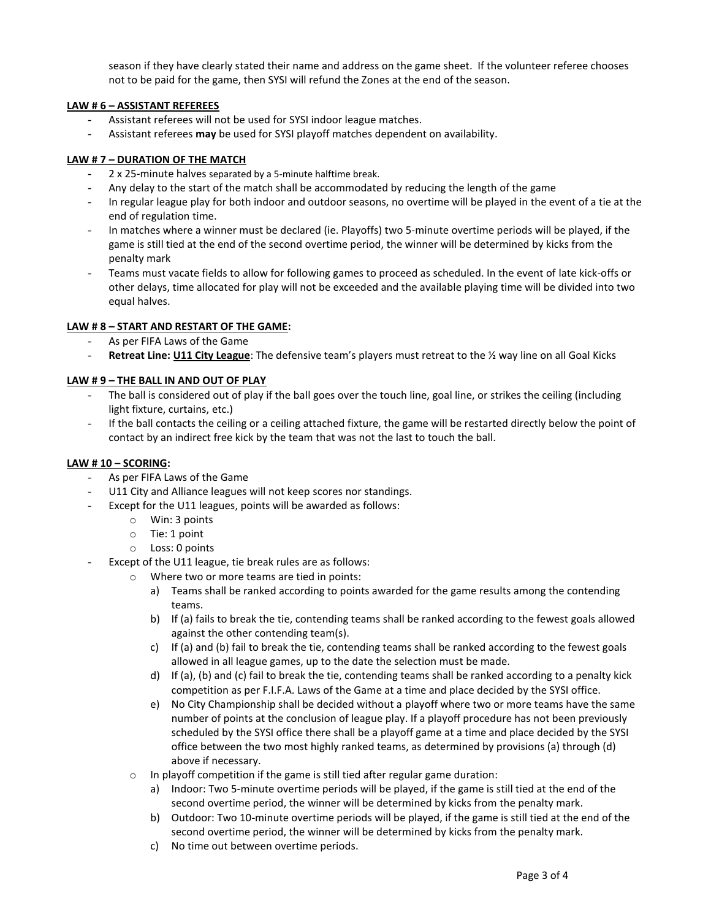season if they have clearly stated their name and address on the game sheet. If the volunteer referee chooses not to be paid for the game, then SYSI will refund the Zones at the end of the season.

# **LAW # 6 – ASSISTANT REFEREES**

- Assistant referees will not be used for SYSI indoor league matches.
- Assistant referees **may** be used for SYSI playoff matches dependent on availability.

# **LAW # 7 – DURATION OF THE MATCH**

- 2 x 25-minute halves separated by a 5-minute halftime break.
- Any delay to the start of the match shall be accommodated by reducing the length of the game
- In regular league play for both indoor and outdoor seasons, no overtime will be played in the event of a tie at the end of regulation time.
- In matches where a winner must be declared (ie. Playoffs) two 5-minute overtime periods will be played, if the game is still tied at the end of the second overtime period, the winner will be determined by kicks from the penalty mark
- Teams must vacate fields to allow for following games to proceed as scheduled. In the event of late kick-offs or other delays, time allocated for play will not be exceeded and the available playing time will be divided into two equal halves.

# **LAW # 8 – START AND RESTART OF THE GAME:**

- As per FIFA Laws of the Game
- **Retreat Line: U11 City League**: The defensive team's players must retreat to the ½ way line on all Goal Kicks

## **LAW # 9 – THE BALL IN AND OUT OF PLAY**

- The ball is considered out of play if the ball goes over the touch line, goal line, or strikes the ceiling (including light fixture, curtains, etc.)
- If the ball contacts the ceiling or a ceiling attached fixture, the game will be restarted directly below the point of contact by an indirect free kick by the team that was not the last to touch the ball.

# **LAW # 10 – SCORING:**

- As per FIFA Laws of the Game
- U11 City and Alliance leagues will not keep scores nor standings.
- Except for the U11 leagues, points will be awarded as follows:
	- o Win: 3 points
	- o Tie: 1 point
	- o Loss: 0 points
- Except of the U11 league, tie break rules are as follows:
	- o Where two or more teams are tied in points:
		- a) Teams shall be ranked according to points awarded for the game results among the contending teams.
		- b) If (a) fails to break the tie, contending teams shall be ranked according to the fewest goals allowed against the other contending team(s).
		- c) If (a) and (b) fail to break the tie, contending teams shall be ranked according to the fewest goals allowed in all league games, up to the date the selection must be made.
		- d) If (a), (b) and (c) fail to break the tie, contending teams shall be ranked according to a penalty kick competition as per F.I.F.A. Laws of the Game at a time and place decided by the SYSI office.
		- e) No City Championship shall be decided without a playoff where two or more teams have the same number of points at the conclusion of league play. If a playoff procedure has not been previously scheduled by the SYSI office there shall be a playoff game at a time and place decided by the SYSI office between the two most highly ranked teams, as determined by provisions (a) through (d) above if necessary.
	- o In playoff competition if the game is still tied after regular game duration:
		- a) Indoor: Two 5-minute overtime periods will be played, if the game is still tied at the end of the second overtime period, the winner will be determined by kicks from the penalty mark.
		- b) Outdoor: Two 10-minute overtime periods will be played, if the game is still tied at the end of the second overtime period, the winner will be determined by kicks from the penalty mark.
		- c) No time out between overtime periods.